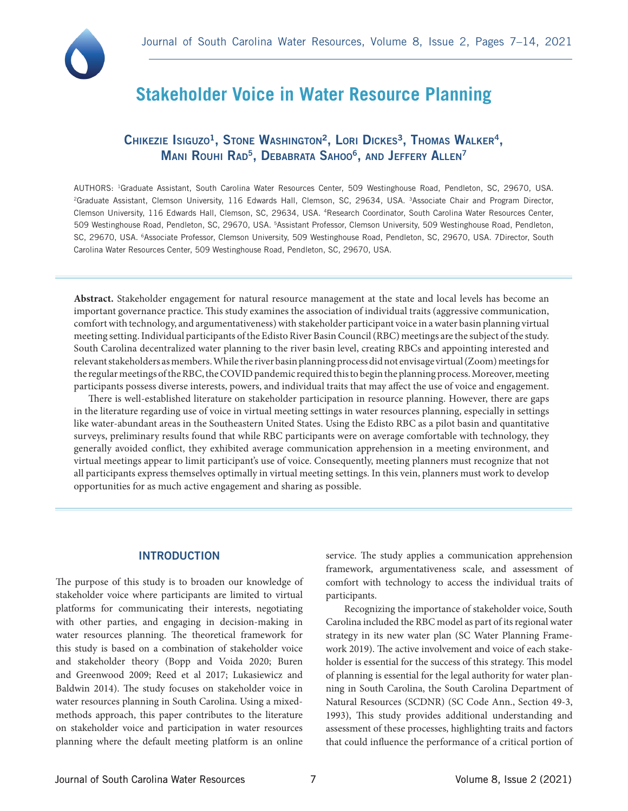

# **Stakeholder Voice in Water Resource Planning**

# CHIKEZIE ISIGUZO<sup>1</sup>, STONE WASHINGTON<sup>2</sup>, LORI DICKES<sup>3</sup>, THOMAS WALKER<sup>4</sup>, MANI ROUHI RAD<sup>5</sup>, DEBABRATA SAHOO<sup>6</sup>, AND JEFFERY ALLEN<sup>7</sup>

AUTHORS: 1Graduate Assistant, South Carolina Water Resources Center, 509 Westinghouse Road, Pendleton, SC, 29670, USA. <sup>2</sup>Graduate Assistant, Clemson University, 116 Edwards Hall, Clemson, SC, 29634, USA. <sup>3</sup>Associate Chair and Program Director, Clemson University, 116 Edwards Hall, Clemson, SC, 29634, USA. 4Research Coordinator, South Carolina Water Resources Center, 509 Westinghouse Road, Pendleton, SC, 29670, USA. 5Assistant Professor, Clemson University, 509 Westinghouse Road, Pendleton, SC, 29670, USA. 6Associate Professor, Clemson University, 509 Westinghouse Road, Pendleton, SC, 29670, USA. 7Director, South Carolina Water Resources Center, 509 Westinghouse Road, Pendleton, SC, 29670, USA.

**Abstract.** Stakeholder engagement for natural resource management at the state and local levels has become an important governance practice. This study examines the association of individual traits (aggressive communication, comfort with technology, and argumentativeness) with stakeholder participant voice in a water basin planning virtual meeting setting. Individual participants of the Edisto River Basin Council (RBC) meetings are the subject of the study. South Carolina decentralized water planning to the river basin level, creating RBCs and appointing interested and relevant stakeholders as members. While the river basin planning process did not envisage virtual (Zoom) meetings for the regular meetings of the RBC, the COVID pandemic required this to begin the planning process. Moreover, meeting participants possess diverse interests, powers, and individual traits that may affect the use of voice and engagement.

 There is well-established literature on stakeholder participation in resource planning. However, there are gaps in the literature regarding use of voice in virtual meeting settings in water resources planning, especially in settings like water-abundant areas in the Southeastern United States. Using the Edisto RBC as a pilot basin and quantitative surveys, preliminary results found that while RBC participants were on average comfortable with technology, they generally avoided conflict, they exhibited average communication apprehension in a meeting environment, and virtual meetings appear to limit participant's use of voice. Consequently, meeting planners must recognize that not all participants express themselves optimally in virtual meeting settings. In this vein, planners must work to develop opportunities for as much active engagement and sharing as possible.

### **INTRODUCTION**

The purpose of this study is to broaden our knowledge of stakeholder voice where participants are limited to virtual platforms for communicating their interests, negotiating with other parties, and engaging in decision-making in water resources planning. The theoretical framework for this study is based on a combination of stakeholder voice and stakeholder theory (Bopp and Voida 2020; Buren and Greenwood 2009; Reed et al 2017; Lukasiewicz and Baldwin 2014). The study focuses on stakeholder voice in water resources planning in South Carolina. Using a mixedmethods approach, this paper contributes to the literature on stakeholder voice and participation in water resources planning where the default meeting platform is an online

service. The study applies a communication apprehension framework, argumentativeness scale, and assessment of comfort with technology to access the individual traits of participants.

Recognizing the importance of stakeholder voice, South Carolina included the RBC model as part of its regional water strategy in its new water plan (SC Water Planning Framework 2019). The active involvement and voice of each stakeholder is essential for the success of this strategy. This model of planning is essential for the legal authority for water planning in South Carolina, the South Carolina Department of Natural Resources (SCDNR) (SC Code Ann., Section 49-3, 1993), This study provides additional understanding and assessment of these processes, highlighting traits and factors that could influence the performance of a critical portion of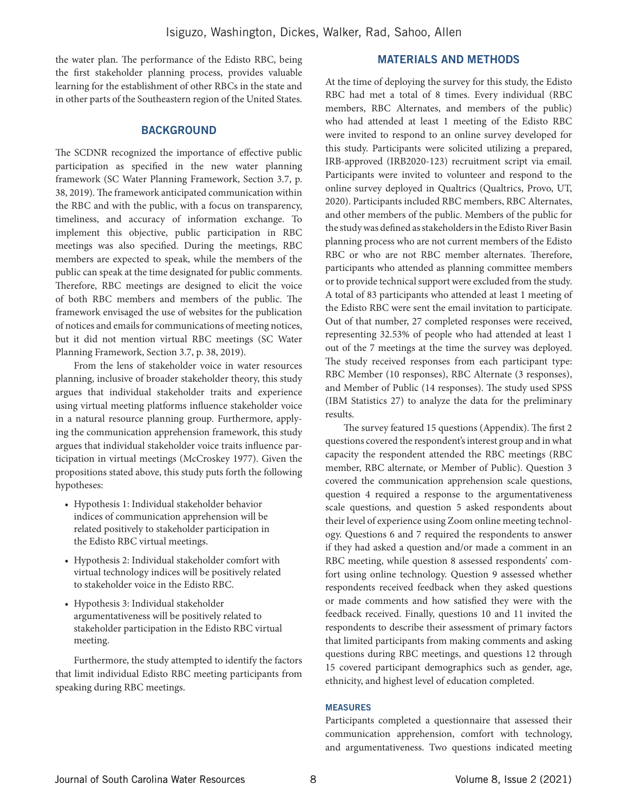the water plan. The performance of the Edisto RBC, being the first stakeholder planning process, provides valuable learning for the establishment of other RBCs in the state and in other parts of the Southeastern region of the United States.

# **BACKGROUND**

The SCDNR recognized the importance of effective public participation as specified in the new water planning framework (SC Water Planning Framework, Section 3.7, p. 38, 2019). The framework anticipated communication within the RBC and with the public, with a focus on transparency, timeliness, and accuracy of information exchange. To implement this objective, public participation in RBC meetings was also specified. During the meetings, RBC members are expected to speak, while the members of the public can speak at the time designated for public comments. Therefore, RBC meetings are designed to elicit the voice of both RBC members and members of the public. The framework envisaged the use of websites for the publication of notices and emails for communications of meeting notices, but it did not mention virtual RBC meetings (SC Water Planning Framework, Section 3.7, p. 38, 2019).

From the lens of stakeholder voice in water resources planning, inclusive of broader stakeholder theory, this study argues that individual stakeholder traits and experience using virtual meeting platforms influence stakeholder voice in a natural resource planning group. Furthermore, applying the communication apprehension framework, this study argues that individual stakeholder voice traits influence participation in virtual meetings (McCroskey 1977). Given the propositions stated above, this study puts forth the following hypotheses:

- Hypothesis 1: Individual stakeholder behavior indices of communication apprehension will be related positively to stakeholder participation in the Edisto RBC virtual meetings.
- Hypothesis 2: Individual stakeholder comfort with virtual technology indices will be positively related to stakeholder voice in the Edisto RBC.
- Hypothesis 3: Individual stakeholder argumentativeness will be positively related to stakeholder participation in the Edisto RBC virtual meeting.

Furthermore, the study attempted to identify the factors that limit individual Edisto RBC meeting participants from speaking during RBC meetings.

# MATERIALS AND METHODS

At the time of deploying the survey for this study, the Edisto RBC had met a total of 8 times. Every individual (RBC members, RBC Alternates, and members of the public) who had attended at least 1 meeting of the Edisto RBC were invited to respond to an online survey developed for this study. Participants were solicited utilizing a prepared, IRB-approved (IRB2020-123) recruitment script via email. Participants were invited to volunteer and respond to the online survey deployed in Qualtrics (Qualtrics, Provo, UT, 2020). Participants included RBC members, RBC Alternates, and other members of the public. Members of the public for the study was defined as stakeholders in the Edisto River Basin planning process who are not current members of the Edisto RBC or who are not RBC member alternates. Therefore, participants who attended as planning committee members or to provide technical support were excluded from the study. A total of 83 participants who attended at least 1 meeting of the Edisto RBC were sent the email invitation to participate. Out of that number, 27 completed responses were received, representing 32.53% of people who had attended at least 1 out of the 7 meetings at the time the survey was deployed. The study received responses from each participant type: RBC Member (10 responses), RBC Alternate (3 responses), and Member of Public (14 responses). The study used SPSS (IBM Statistics 27) to analyze the data for the preliminary results.

The survey featured 15 questions (Appendix). The first 2 questions covered the respondent's interest group and in what capacity the respondent attended the RBC meetings (RBC member, RBC alternate, or Member of Public). Question 3 covered the communication apprehension scale questions, question 4 required a response to the argumentativeness scale questions, and question 5 asked respondents about their level of experience using Zoom online meeting technology. Questions 6 and 7 required the respondents to answer if they had asked a question and/or made a comment in an RBC meeting, while question 8 assessed respondents' comfort using online technology. Question 9 assessed whether respondents received feedback when they asked questions or made comments and how satisfied they were with the feedback received. Finally, questions 10 and 11 invited the respondents to describe their assessment of primary factors that limited participants from making comments and asking questions during RBC meetings, and questions 12 through 15 covered participant demographics such as gender, age, ethnicity, and highest level of education completed.

#### MEASURES

Participants completed a questionnaire that assessed their communication apprehension, comfort with technology, and argumentativeness. Two questions indicated meeting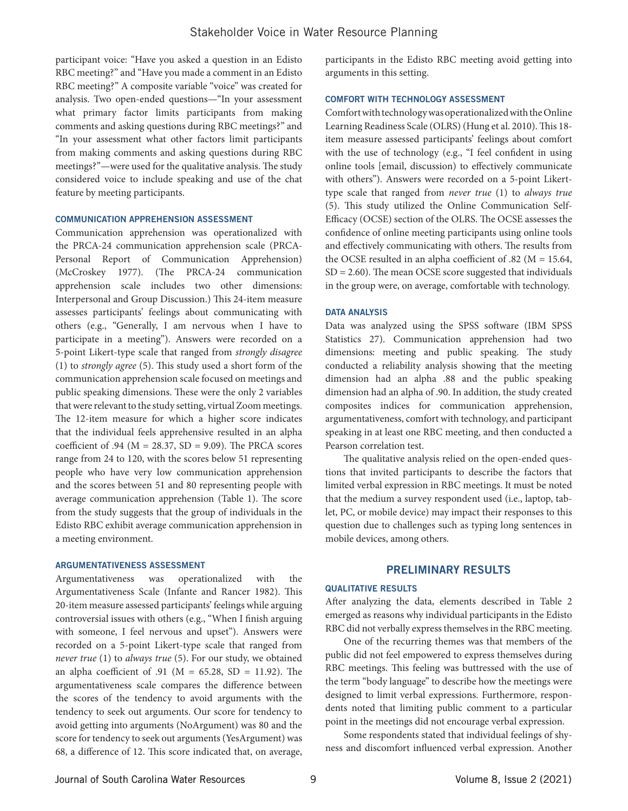participant voice: "Have you asked a question in an Edisto RBC meeting?" and "Have you made a comment in an Edisto RBC meeting?" A composite variable "voice" was created for analysis. Two open-ended questions—"In your assessment what primary factor limits participants from making comments and asking questions during RBC meetings?" and "In your assessment what other factors limit participants from making comments and asking questions during RBC meetings?"—were used for the qualitative analysis. The study considered voice to include speaking and use of the chat feature by meeting participants.

#### COMMUNICATION APPREHENSION ASSESSMENT

Communication apprehension was operationalized with the PRCA-24 communication apprehension scale (PRCA-Personal Report of Communication Apprehension) (McCroskey 1977). (The PRCA-24 communication apprehension scale includes two other dimensions: Interpersonal and Group Discussion.) This 24-item measure assesses participants' feelings about communicating with others (e.g., "Generally, I am nervous when I have to participate in a meeting"). Answers were recorded on a 5-point Likert-type scale that ranged from *strongly disagree* (1) to *strongly agree* (5). This study used a short form of the communication apprehension scale focused on meetings and public speaking dimensions. These were the only 2 variables that were relevant to the study setting, virtual Zoom meetings. The 12-item measure for which a higher score indicates that the individual feels apprehensive resulted in an alpha coefficient of .94 ( $M = 28.37$ ,  $SD = 9.09$ ). The PRCA scores range from 24 to 120, with the scores below 51 representing people who have very low communication apprehension and the scores between 51 and 80 representing people with average communication apprehension (Table 1). The score from the study suggests that the group of individuals in the Edisto RBC exhibit average communication apprehension in a meeting environment.

#### ARGUMENTATIVENESS ASSESSMENT

Argumentativeness was operationalized with the Argumentativeness Scale (Infante and Rancer 1982). This 20-item measure assessed participants' feelings while arguing controversial issues with others (e.g., "When I finish arguing with someone, I feel nervous and upset"). Answers were recorded on a 5-point Likert-type scale that ranged from *never true* (1) to *always true* (5). For our study, we obtained an alpha coefficient of .91 ( $M = 65.28$ , SD = 11.92). The argumentativeness scale compares the difference between the scores of the tendency to avoid arguments with the tendency to seek out arguments. Our score for tendency to avoid getting into arguments (NoArgument) was 80 and the score for tendency to seek out arguments (YesArgument) was 68, a difference of 12. This score indicated that, on average,

participants in the Edisto RBC meeting avoid getting into arguments in this setting.

#### COMFORT WITH TECHNOLOGY ASSESSMENT

Comfort with technology was operationalized with the Online Learning Readiness Scale (OLRS) (Hung et al. 2010). This 18 item measure assessed participants' feelings about comfort with the use of technology (e.g., "I feel confident in using online tools [email, discussion) to effectively communicate with others"). Answers were recorded on a 5-point Likerttype scale that ranged from *never true* (1) to *always true* (5). This study utilized the Online Communication Self-Efficacy (OCSE) section of the OLRS. The OCSE assesses the confidence of online meeting participants using online tools and effectively communicating with others. The results from the OCSE resulted in an alpha coefficient of .82 ( $M = 15.64$ ,  $SD = 2.60$ ). The mean OCSE score suggested that individuals in the group were, on average, comfortable with technology.

#### DATA ANALYSIS

Data was analyzed using the SPSS software (IBM SPSS Statistics 27). Communication apprehension had two dimensions: meeting and public speaking. The study conducted a reliability analysis showing that the meeting dimension had an alpha .88 and the public speaking dimension had an alpha of .90. In addition, the study created composites indices for communication apprehension, argumentativeness, comfort with technology, and participant speaking in at least one RBC meeting, and then conducted a Pearson correlation test.

The qualitative analysis relied on the open-ended questions that invited participants to describe the factors that limited verbal expression in RBC meetings. It must be noted that the medium a survey respondent used (i.e., laptop, tablet, PC, or mobile device) may impact their responses to this question due to challenges such as typing long sentences in mobile devices, among others.

### PRELIMINARY RESULTS

#### QUALITATIVE RESULTS

After analyzing the data, elements described in Table 2 emerged as reasons why individual participants in the Edisto RBC did not verbally express themselves in the RBC meeting.

One of the recurring themes was that members of the public did not feel empowered to express themselves during RBC meetings. This feeling was buttressed with the use of the term "body language" to describe how the meetings were designed to limit verbal expressions. Furthermore, respondents noted that limiting public comment to a particular point in the meetings did not encourage verbal expression.

Some respondents stated that individual feelings of shyness and discomfort influenced verbal expression. Another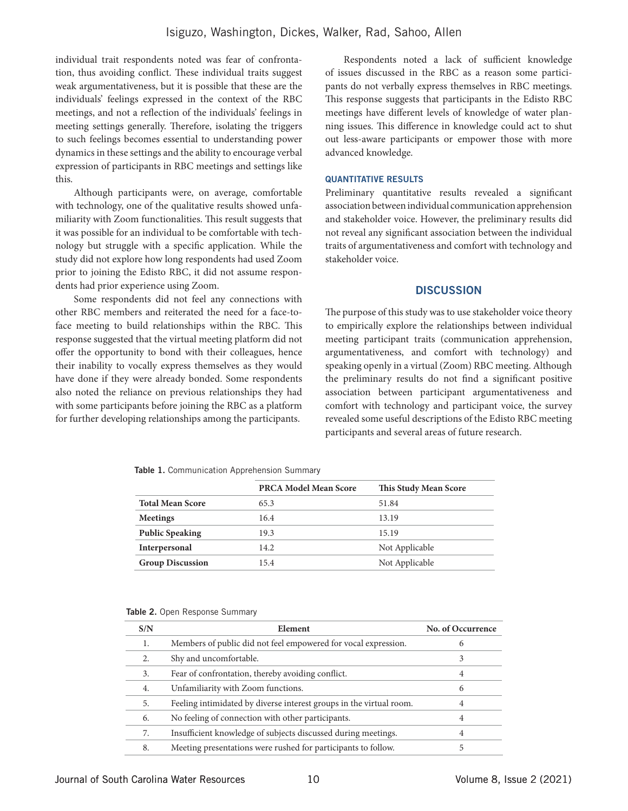individual trait respondents noted was fear of confrontation, thus avoiding conflict. These individual traits suggest weak argumentativeness, but it is possible that these are the individuals' feelings expressed in the context of the RBC meetings, and not a reflection of the individuals' feelings in meeting settings generally. Therefore, isolating the triggers to such feelings becomes essential to understanding power dynamics in these settings and the ability to encourage verbal expression of participants in RBC meetings and settings like this.

Although participants were, on average, comfortable with technology, one of the qualitative results showed unfamiliarity with Zoom functionalities. This result suggests that it was possible for an individual to be comfortable with technology but struggle with a specific application. While the study did not explore how long respondents had used Zoom prior to joining the Edisto RBC, it did not assume respondents had prior experience using Zoom.

Some respondents did not feel any connections with other RBC members and reiterated the need for a face-toface meeting to build relationships within the RBC. This response suggested that the virtual meeting platform did not offer the opportunity to bond with their colleagues, hence their inability to vocally express themselves as they would have done if they were already bonded. Some respondents also noted the reliance on previous relationships they had with some participants before joining the RBC as a platform for further developing relationships among the participants.

Respondents noted a lack of sufficient knowledge of issues discussed in the RBC as a reason some participants do not verbally express themselves in RBC meetings. This response suggests that participants in the Edisto RBC meetings have different levels of knowledge of water planning issues. This difference in knowledge could act to shut out less-aware participants or empower those with more advanced knowledge.

#### QUANTITATIVE RESULTS

Preliminary quantitative results revealed a significant association between individual communication apprehension and stakeholder voice. However, the preliminary results did not reveal any significant association between the individual traits of argumentativeness and comfort with technology and stakeholder voice.

# **DISCUSSION**

The purpose of this study was to use stakeholder voice theory to empirically explore the relationships between individual meeting participant traits (communication apprehension, argumentativeness, and comfort with technology) and speaking openly in a virtual (Zoom) RBC meeting. Although the preliminary results do not find a significant positive association between participant argumentativeness and comfort with technology and participant voice, the survey revealed some useful descriptions of the Edisto RBC meeting participants and several areas of future research.

Table 1. Communication Apprehension Summary

|                         | <b>PRCA Model Mean Score</b> | This Study Mean Score |  |
|-------------------------|------------------------------|-----------------------|--|
| <b>Total Mean Score</b> | 65.3                         | 51.84                 |  |
| <b>Meetings</b>         | 16.4                         | 13.19                 |  |
| <b>Public Speaking</b>  | 19.3                         | 15.19                 |  |
| Interpersonal           | 14.2                         | Not Applicable        |  |
| <b>Group Discussion</b> | 15.4                         | Not Applicable        |  |
|                         |                              |                       |  |

|  |  |  |  | Table 2. Open Response Summary |
|--|--|--|--|--------------------------------|
|--|--|--|--|--------------------------------|

| S/N | Element                                                             | No. of Occurrence |
|-----|---------------------------------------------------------------------|-------------------|
| 1.  | Members of public did not feel empowered for vocal expression.      | 6                 |
| 2.  | Shy and uncomfortable.                                              | 3                 |
| 3.  | Fear of confrontation, thereby avoiding conflict.                   | 4                 |
| 4.  | Unfamiliarity with Zoom functions.                                  | 6                 |
| 5.  | Feeling intimidated by diverse interest groups in the virtual room. | 4                 |
| 6.  | No feeling of connection with other participants.                   | 4                 |
| 7.  | Insufficient knowledge of subjects discussed during meetings.       | 4                 |
| 8.  | Meeting presentations were rushed for participants to follow.       | 5                 |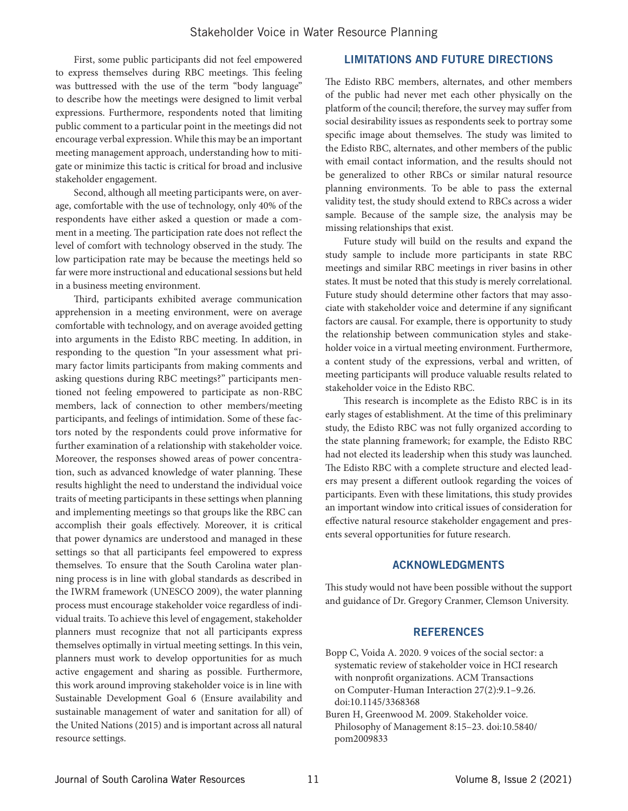First, some public participants did not feel empowered to express themselves during RBC meetings. This feeling was buttressed with the use of the term "body language" to describe how the meetings were designed to limit verbal expressions. Furthermore, respondents noted that limiting public comment to a particular point in the meetings did not encourage verbal expression. While this may be an important meeting management approach, understanding how to mitigate or minimize this tactic is critical for broad and inclusive stakeholder engagement.

Second, although all meeting participants were, on average, comfortable with the use of technology, only 40% of the respondents have either asked a question or made a comment in a meeting. The participation rate does not reflect the level of comfort with technology observed in the study. The low participation rate may be because the meetings held so far were more instructional and educational sessions but held in a business meeting environment.

Third, participants exhibited average communication apprehension in a meeting environment, were on average comfortable with technology, and on average avoided getting into arguments in the Edisto RBC meeting. In addition, in responding to the question "In your assessment what primary factor limits participants from making comments and asking questions during RBC meetings?" participants mentioned not feeling empowered to participate as non-RBC members, lack of connection to other members/meeting participants, and feelings of intimidation. Some of these factors noted by the respondents could prove informative for further examination of a relationship with stakeholder voice. Moreover, the responses showed areas of power concentration, such as advanced knowledge of water planning. These results highlight the need to understand the individual voice traits of meeting participants in these settings when planning and implementing meetings so that groups like the RBC can accomplish their goals effectively. Moreover, it is critical that power dynamics are understood and managed in these settings so that all participants feel empowered to express themselves. To ensure that the South Carolina water planning process is in line with global standards as described in the IWRM framework (UNESCO 2009), the water planning process must encourage stakeholder voice regardless of individual traits. To achieve this level of engagement, stakeholder planners must recognize that not all participants express themselves optimally in virtual meeting settings. In this vein, planners must work to develop opportunities for as much active engagement and sharing as possible. Furthermore, this work around improving stakeholder voice is in line with Sustainable Development Goal 6 (Ensure availability and sustainable management of water and sanitation for all) of the United Nations (2015) and is important across all natural resource settings.

# LIMITATIONS AND FUTURE DIRECTIONS

The Edisto RBC members, alternates, and other members of the public had never met each other physically on the platform of the council; therefore, the survey may suffer from social desirability issues as respondents seek to portray some specific image about themselves. The study was limited to the Edisto RBC, alternates, and other members of the public with email contact information, and the results should not be generalized to other RBCs or similar natural resource planning environments. To be able to pass the external validity test, the study should extend to RBCs across a wider sample. Because of the sample size, the analysis may be missing relationships that exist.

Future study will build on the results and expand the study sample to include more participants in state RBC meetings and similar RBC meetings in river basins in other states. It must be noted that this study is merely correlational. Future study should determine other factors that may associate with stakeholder voice and determine if any significant factors are causal. For example, there is opportunity to study the relationship between communication styles and stakeholder voice in a virtual meeting environment. Furthermore, a content study of the expressions, verbal and written, of meeting participants will produce valuable results related to stakeholder voice in the Edisto RBC.

This research is incomplete as the Edisto RBC is in its early stages of establishment. At the time of this preliminary study, the Edisto RBC was not fully organized according to the state planning framework; for example, the Edisto RBC had not elected its leadership when this study was launched. The Edisto RBC with a complete structure and elected leaders may present a different outlook regarding the voices of participants. Even with these limitations, this study provides an important window into critical issues of consideration for effective natural resource stakeholder engagement and presents several opportunities for future research.

#### ACKNOWLEDGMENTS

This study would not have been possible without the support and guidance of Dr. Gregory Cranmer, Clemson University.

#### **REFERENCES**

- Bopp C, Voida A. 2020. 9 voices of the social sector: a systematic review of stakeholder voice in HCI research with nonprofit organizations. ACM Transactions on Computer-Human Interaction 27(2):9.1–9.26. doi:10.1145/3368368
- Buren H, Greenwood M. 2009. Stakeholder voice. Philosophy of Management 8:15–23. doi:10.5840/ pom2009833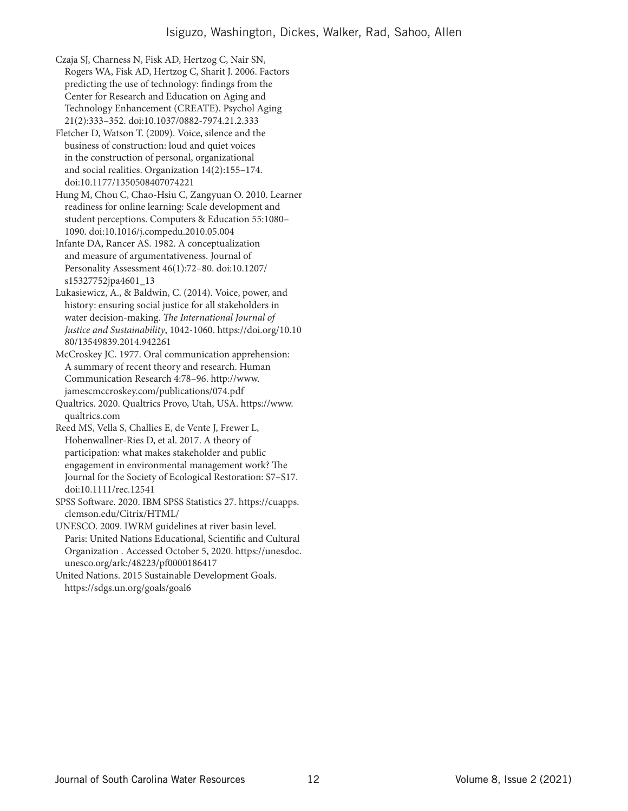Czaja SJ, Charness N, Fisk AD, Hertzog C, Nair SN, Rogers WA, Fisk AD, Hertzog C, Sharit J. 2006. Factors predicting the use of technology: findings from the Center for Research and Education on Aging and Technology Enhancement (CREATE). Psychol Aging 21(2):333–352. doi:10.1037/0882-7974.21.2.333

Fletcher D, Watson T. (2009). Voice, silence and the business of construction: loud and quiet voices in the construction of personal, organizational and social realities. Organization 14(2):155–174. doi:10.1177/1350508407074221

Hung M, Chou C, Chao-Hsiu C, Zangyuan O. 2010. Learner readiness for online learning: Scale development and student perceptions. Computers & Education 55:1080– 1090. doi:10.1016/j.compedu.2010.05.004

Infante DA, Rancer AS. 1982. A conceptualization and measure of argumentativeness. Journal of Personality Assessment 46(1):72–80. doi:10.1207/ s15327752jpa4601\_13

Lukasiewicz, A., & Baldwin, C. (2014). Voice, power, and history: ensuring social justice for all stakeholders in water decision-making. *The International Journal of Justice and Sustainability*, 1042-1060. https://doi.org/10.10 80/13549839.2014.942261

McCroskey JC. 1977. Oral communication apprehension: A summary of recent theory and research. Human Communication Research 4:78–96. http://www. jamescmccroskey.com/publications/074.pdf

Qualtrics. 2020. Qualtrics Provo, Utah, USA. https://www. qualtrics.com

Reed MS, Vella S, Challies E, de Vente J, Frewer L, Hohenwallner-Ries D, et al. 2017. A theory of participation: what makes stakeholder and public engagement in environmental management work? The Journal for the Society of Ecological Restoration: S7–S17. doi:10.1111/rec.12541

SPSS Software. 2020. IBM SPSS Statistics 27. https://cuapps. clemson.edu/Citrix/HTML/

UNESCO. 2009. IWRM guidelines at river basin level. Paris: United Nations Educational, Scientific and Cultural Organization . Accessed October 5, 2020. https://unesdoc. unesco.org/ark:/48223/pf0000186417

United Nations. 2015 Sustainable Development Goals. https://sdgs.un.org/goals/goal6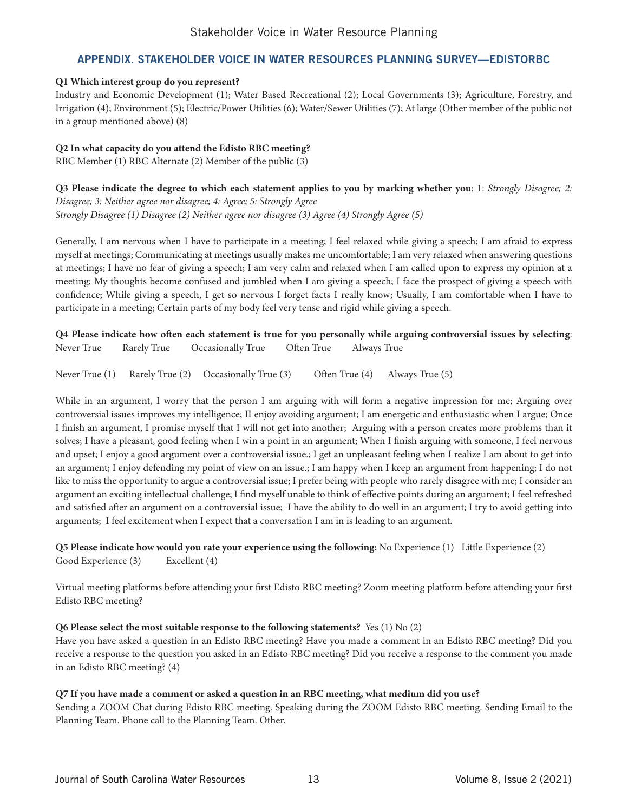# Stakeholder Voice in Water Resource Planning

# APPENDIX. STAKEHOLDER VOICE IN WATER RESOURCES PLANNING SURVEY—EDISTORBC

# **Q1 Which interest group do you represent?**

Industry and Economic Development (1); Water Based Recreational (2); Local Governments (3); Agriculture, Forestry, and Irrigation (4); Environment (5); Electric/Power Utilities (6); Water/Sewer Utilities (7); At large (Other member of the public not in a group mentioned above) (8)

# **Q2 In what capacity do you attend the Edisto RBC meeting?**

RBC Member (1) RBC Alternate (2) Member of the public (3)

**Q3 Please indicate the degree to which each statement applies to you by marking whether you**: 1: *Strongly Disagree; 2: Disagree; 3: Neither agree nor disagree; 4: Agree; 5: Strongly Agree Strongly Disagree (1) Disagree (2) Neither agree nor disagree (3) Agree (4) Strongly Agree (5)*

Generally, I am nervous when I have to participate in a meeting; I feel relaxed while giving a speech; I am afraid to express myself at meetings; Communicating at meetings usually makes me uncomfortable; I am very relaxed when answering questions at meetings; I have no fear of giving a speech; I am very calm and relaxed when I am called upon to express my opinion at a meeting; My thoughts become confused and jumbled when I am giving a speech; I face the prospect of giving a speech with confidence; While giving a speech, I get so nervous I forget facts I really know; Usually, I am comfortable when I have to participate in a meeting; Certain parts of my body feel very tense and rigid while giving a speech.

**Q4 Please indicate how often each statement is true for you personally while arguing controversial issues by selecting**: Never True Rarely True Occasionally True Often True Always True

Never True (1) Rarely True (2) Occasionally True (3) Often True (4) Always True (5)

While in an argument, I worry that the person I am arguing with will form a negative impression for me; Arguing over controversial issues improves my intelligence; II enjoy avoiding argument; I am energetic and enthusiastic when I argue; Once I finish an argument, I promise myself that I will not get into another; Arguing with a person creates more problems than it solves; I have a pleasant, good feeling when I win a point in an argument; When I finish arguing with someone, I feel nervous and upset; I enjoy a good argument over a controversial issue.; I get an unpleasant feeling when I realize I am about to get into an argument; I enjoy defending my point of view on an issue.; I am happy when I keep an argument from happening; I do not like to miss the opportunity to argue a controversial issue; I prefer being with people who rarely disagree with me; I consider an argument an exciting intellectual challenge; I find myself unable to think of effective points during an argument; I feel refreshed and satisfied after an argument on a controversial issue; I have the ability to do well in an argument; I try to avoid getting into arguments; I feel excitement when I expect that a conversation I am in is leading to an argument.

**Q5 Please indicate how would you rate your experience using the following:** No Experience (1) Little Experience (2) Good Experience (3) Excellent (4)

Virtual meeting platforms before attending your first Edisto RBC meeting? Zoom meeting platform before attending your first Edisto RBC meeting?

# **Q6 Please select the most suitable response to the following statements?** Yes (1) No (2)

Have you have asked a question in an Edisto RBC meeting? Have you made a comment in an Edisto RBC meeting? Did you receive a response to the question you asked in an Edisto RBC meeting? Did you receive a response to the comment you made in an Edisto RBC meeting? (4)

# **Q7 If you have made a comment or asked a question in an RBC meeting, what medium did you use?**

Sending a ZOOM Chat during Edisto RBC meeting. Speaking during the ZOOM Edisto RBC meeting. Sending Email to the Planning Team. Phone call to the Planning Team. Other.